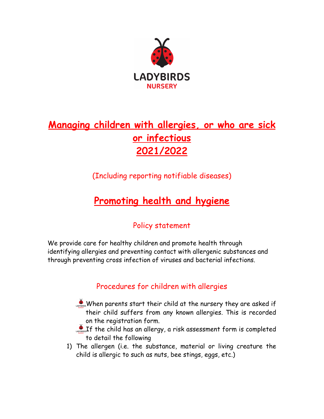

# **Managing children with allergies, or who are sick or infectious 2021/2022**

(Including reporting notifiable diseases)

# **Promoting health and hygiene**

## Policy statement

We provide care for healthy children and promote health through identifying allergies and preventing contact with allergenic substances and through preventing cross infection of viruses and bacterial infections.

## Procedures for children with allergies

- When parents start their child at the nursery they are asked if their child suffers from any known allergies. This is recorded on the registration form.
- LADREF the child has an allergy, a risk assessment form is completed to detail the following
- 1) The allergen (i.e. the substance, material or living creature the child is allergic to such as nuts, bee stings, eggs, etc.)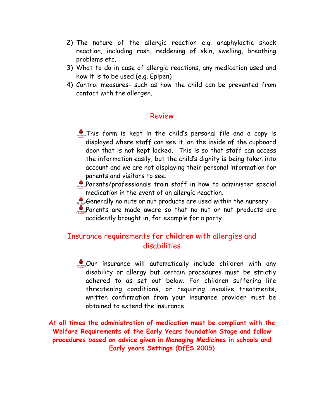- 2) The nature of the allergic reaction e.g. anaphylactic shock reaction, including rash, reddening of skin, swelling, breathing problems etc.
- 3) What to do in case of allergic reactions, any medication used and how it is to be used (e.g. Epipen)
- 4) Control measures- such as how the child can be prevented from contact with the allergen.

#### Review

- **Pass** This form is kept in the child's personal file and a copy is displayed where staff can see it, on the inside of the cupboard door that is not kept locked. This is so that staff can access the information easily, but the child's dignity is being taken into account and we are not displaying their personal information for parents and visitors to see.
- **Parents/professionals train staff in how to administer special** medication in the event of an allergic reaction.
- Generally no nuts or nut products are used within the nursery
- **Parents are made aware so that no nut or nut products are** accidently brought in, for example for a party.

### Insurance requirements for children with allergies and disabilities

Covension Our insurance will automatically include children with any disability or allergy but certain procedures must be strictly adhered to as set out below. For children suffering life threatening conditions, or requiring invasive treatments, written confirmation from your insurance provider must be obtained to extend the insurance.

**At all times the administration of medication must be compliant with the Welfare Requirements of the Early Years foundation Stage and follow procedures based on advice given in Managing Medicines in schools and Early years Settings (DfES 2005)**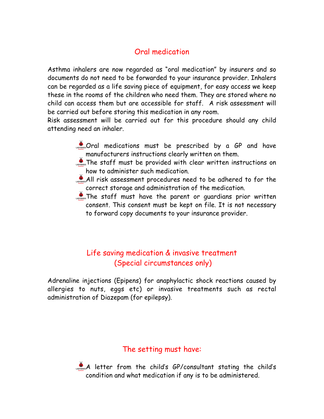## Oral medication

Asthma inhalers are now regarded as "oral medication" by insurers and so documents do not need to be forwarded to your insurance provider. Inhalers can be regarded as a life saving piece of equipment, for easy access we keep these in the rooms of the children who need them. They are stored where no child can access them but are accessible for staff. A risk assessment will be carried out before storing this medication in any room.

Risk assessment will be carried out for this procedure should any child attending need an inhaler.

- Comes Oral medications must be prescribed by a GP and have manufacturers instructions clearly written on them.
- The staff must be provided with clear written instructions on how to administer such medication.
- All risk assessment procedures need to be adhered to for the correct storage and administration of the medication.
- The staff must have the parent or quardians prior written consent. This consent must be kept on file. It is not necessary to forward copy documents to your insurance provider.

## Life saving medication & invasive treatment (Special circumstances only)

Adrenaline injections (Epipens) for anaphylactic shock reactions caused by allergies to nuts, eggs etc) or invasive treatments such as rectal administration of Diazepam (for epilepsy).

### The setting must have:



 $\bullet$  letter from the child's GP/consultant stating the child's condition and what medication if any is to be administered.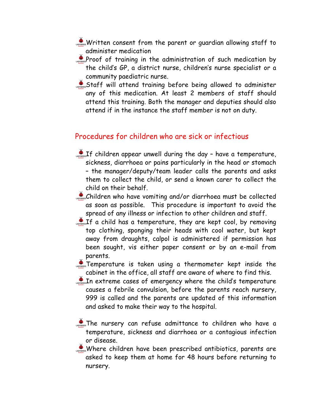- Written consent from the parent or guardian allowing staff to administer medication
- Proof of training in the administration of such medication by the child's GP, a district nurse, children's nurse specialist or a community paediatric nurse.
- Staff will attend training before being allowed to administer any of this medication. At least 2 members of staff should attend this training. Both the manager and deputies should also attend if in the instance the staff member is not on duty.

#### Procedures for children who are sick or infectious

- $\mathcal{L}_{\text{nonlinear}}$  children appear unwell during the day have a temperature, sickness, diarrhoea or pains particularly in the head or stomach – the manager/deputy/team leader calls the parents and asks them to collect the child, or send a known carer to collect the child on their behalf.
- Children who have vomiting and/or diarrhoea must be collected as soon as possible. This procedure is important to avoid the spread of any illness or infection to other children and staff.
- $\sum_{n=1}^{\infty}$  If a child has a temperature, they are kept cool, by removing top clothing, sponging their heads with cool water, but kept away from draughts, calpol is administered if permission has been sought, vis either paper consent or by an e-mail from parents.
- Temperature is taken using a thermometer kept inside the cabinet in the office, all staff are aware of where to find this.
- $\mathcal{L}_{\text{Lipers}}$  In extreme cases of emergency where the child's temperature causes a febrile convulsion, before the parents reach nursery, 999 is called and the parents are updated of this information and asked to make their way to the hospital.
- The nursery can refuse admittance to children who have a temperature, sickness and diarrhoea or a contagious infection or disease.

Where children have been prescribed antibiotics, parents are asked to keep them at home for 48 hours before returning to nursery.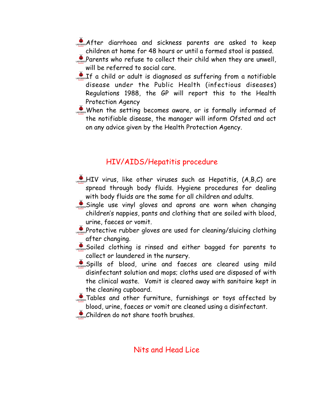- After diarrhoea and sickness parents are asked to keep children at home for 48 hours or until a formed stool is passed.
- **A** Parents who refuse to collect their child when they are unwell, will be referred to social care.
- If a child or adult is diagnosed as suffering from a notifiable disease under the Public Health (infectious diseases) Regulations 1988, the GP will report this to the Health Protection Agency
- When the setting becomes aware, or is formally informed of the notifiable disease, the manager will inform Ofsted and act on any advice given by the Health Protection Agency.

### HIV/AIDS/Hepatitis procedure

- $\mathcal{L}_{\text{cross}}$ HIV virus, like other viruses such as Hepatitis,  $(A,B,C)$  are spread through body fluids. Hygiene procedures for dealing with body fluids are the same for all children and adults.
- Single use vinyl gloves and aprons are worn when changing children's nappies, pants and clothing that are soiled with blood, urine, faeces or vomit.
- **Protective rubber gloves are used for cleaning/sluicing clothing** after changing.
- Soiled clothing is rinsed and either bagged for parents to collect or laundered in the nursery.
- Spills of blood, urine and faeces are cleared using mild disinfectant solution and mops; cloths used are disposed of with the clinical waste. Vomit is cleared away with sanitaire kept in the cleaning cupboard.
- **A** Tables and other furniture, furnishings or toys affected by blood, urine, faeces or vomit are cleaned using a disinfectant.
- Children do not share tooth brushes.

#### Nits and Head Lice